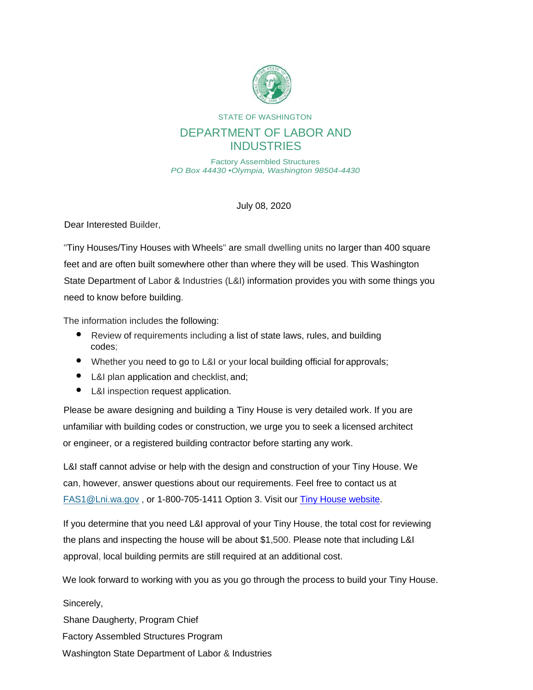

STATE OF WASHINGTON

## DEPARTMENT OF LABOR AND **INDUSTRIES**

Factory Assembled Structures *PO Box 44430* •*Olympia, Washington 98504-4430*

July 08, 2020

Dear Interested Builder,

"Tiny Houses/Tiny Houses with Wheels" are small dwelling units no larger than 400 square feet and are often built somewhere other than where they will be used. This Washington State Department of Labor & Industries (L&I) information provides you with some things you need to know before building.

The information includes the following:

- Review of requirements including a list of state laws, rules, and building codes;
- Whether you need to go to L&I or your local building official for approvals;
- L&I plan application and checklist, and;
- L&I inspection request application.

Please be aware designing and building a Tiny House is very detailed work. If you are unfamiliar with building codes or construction, we urge you to seek a licensed architect or engineer, or a registered building contractor before starting any work.

L&I staff cannot advise or help with the design and construction of your Tiny House. We can, however, answer questions about our requirements. Feel free to contact us at [FAS1@Lni.wa.gov](mailto:FAS1@lni.wa.gov) , or 1-800-705-1411 Option 3. Visit our [Tiny House website.](https://lni.wa.gov/licensing-permits/manufactured-modular-mobile-structures/tiny-homes/#about-tiny-houses)

If you determine that you need L&I approval of your Tiny House, the total cost for reviewing the plans and inspecting the house will be about \$1,500. Please note that including L&I approval, local building permits are still required at an additional cost.

We look forward to working with you as you go through the process to build your Tiny House.

Sincerely, Shane Daugherty, Program Chief Factory Assembled Structures Program Washington State Department of Labor & Industries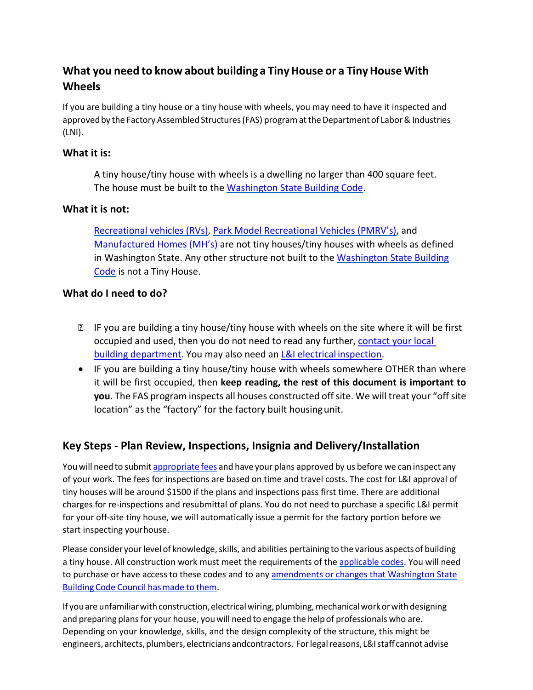## **What you need to know about building a TinyHouse or a TinyHouse With Wheels**

If you are building a tiny house or a tiny house with wheels, you may need to have it inspected and approved by the Factory Assembled Structures (FAS) program at the Department of Labor & Industries (LNI).

## **What it is:**

A tiny house/tiny house with wheels is a dwelling no larger than 400 square feet. The house must be built to the [Washington State Building Code.](https://apps.des.wa.gov/sbcc/Page.aspx?nid=14)

## **What it is not:**

[Recreational vehicles \(RVs\),](https://app.leg.wa.gov/WAC/default.aspx?cite=296-150R) [Park Model Recreational Vehicles \(PMRV's\),](https://app.leg.wa.gov/WAC/default.aspx?cite=296-150P) and [Manufactured Homes \(MH's\)](https://app.leg.wa.gov/WAC/default.aspx?cite=296-150M-0306) are not tiny houses/tiny houses with wheels as defined in Washington State. Any other structure not built to the [Washington State Building](https://apps.des.wa.gov/sbcc/Page.aspx?nid=14) [Code](https://apps.des.wa.gov/sbcc/Page.aspx?nid=14) is not a Tiny House.

## **What do I need to do?**

- IF you are building a tiny house/tiny house with wheels on the site where it will be first occupied and used, then you do not need to read any further, [contact your local](https://www.wabo.org/find-your-bo) [building department.](https://www.wabo.org/find-your-bo) You may also need an [L&I electrical](https://lni.wa.gov/licensing-permits/electrical/electrical-permits-fees-and-inspections/) inspection.
- IF you are building a tiny house/tiny house with wheels somewhere OTHER than where it will be first occupied, then **keep reading, the rest of this document is important to you**. The FAS program inspects all houses constructed off site. We will treat your "off site location" as the "factory" for the factory built housingunit.

## **Key Steps ‐ Plan Review, Inspections, Insignia and Delivery/Installation**

You will need to submit [appropriate](https://app.leg.wa.gov/WAC/default.aspx?cite=296-150F-3000) fees and have your plans approved by us before we can inspect any of your work. The fees for inspections are based on time and travel costs. The cost for L&I approval of tiny houses will be around \$1500 if the plans and inspections pass first time. There are additional charges for re‐inspections and resubmittal of plans. You do not need to purchase a specific L&I permit for your off-site tiny house, we will automatically issue a permit for the factory portion before we start inspecting yourhouse.

Please consider your level of knowledge, skills, and abilities pertaining to the various aspects of building a tiny house. All construction work must meet the requirements of the [applicable codes. Y](https://apps.des.wa.gov/sbcc/Page.aspx?nid=14)ou will need to purchase or have access to these codes and to any [amendments or changes that Washington State](https://apps.des.wa.gov/sbcc/Page.aspx?nid=14) Building Code Council [hasmade](https://apps.des.wa.gov/sbcc/Page.aspx?nid=14) to them.

If you are unfamiliar with construction, electrical wiring, plumbing, mechanical work or with designing and preparing plans for your house, you will need to engage the help of professionals who are. Depending on your knowledge, skills, and the design complexity of the structure, this might be engineers, architects, plumbers, electricians andcontractors. For legal reasons, L&I staff cannot advise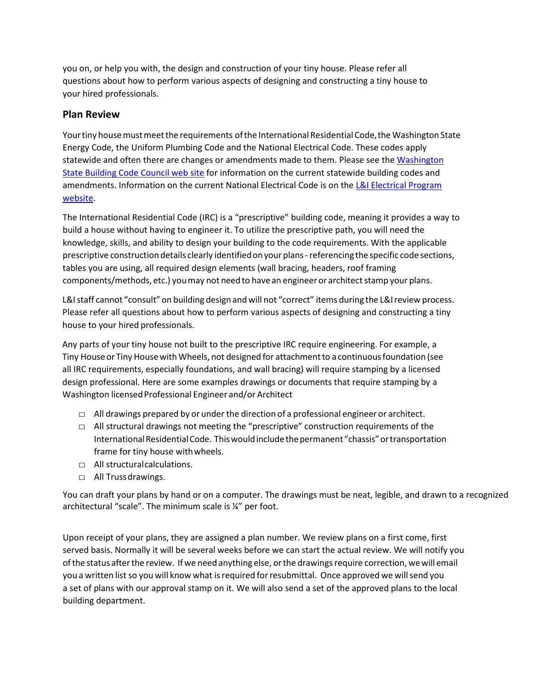you on, or help you with, the design and construction of your tiny house. Please refer all questions about how to perform various aspects of designing and constructing a tiny house to your hired professionals.

## **Plan Review**

Your tiny house must meet the requirements of the International Residential Code, the Washington State Energy Code, the Uniform Plumbing Code and the National Electrical Code. These codes apply statewide and often there are changes or amendments made to them. Please [see the Washington](https://apps.des.wa.gov/sbcc/page.aspx?nid=4) Stat[e Building Code Council web site](https://apps.des.wa.gov/sbcc/page.aspx?nid=4) for information on the current statewide building codes and [amendments. Information on the current National Electrical Code is on the L&I Electrical Program](https://lni.wa.gov/licensing-permits/electrical/electrical-permits-fees-and-inspections/) [website.](https://lni.wa.gov/licensing-permits/electrical/electrical-permits-fees-and-inspections/)

The International Residential Code (IRC) is a "prescriptive" building code, meaning it provides a way to build a house without having to engineer it. To utilize the prescriptive path, you will need the knowledge, skills, and ability to design your building to the code requirements. With the applicable prescriptive construction details clearly identified on your plans - referencing the specific code sections, tables you are using, all required design elements (wall bracing, headers, roof framing components/methods, etc.) you may not need to have an engineer or architect stamp your plans.

L&I staff cannot "consult" on building design and will not "correct" items during the L&I review process. Please refer all questions about how to perform various aspects of designing and constructing a tiny house to your hired professionals.

Any parts of your tiny house not built to the prescriptive IRC require engineering. For example, a Tiny House or Tiny House with Wheels, not designed for attachment to a continuous foundation (see all IRC requirements, especially foundations, and wall bracing) will require stamping by a licensed design professional. Here are some examples drawings or documents that require stamping by a Washington licensedProfessional Engineer and/or Architect

- $\Box$  All drawings prepared by or under the direction of a professional engineer or architect.
- □ All structural drawings not meeting the "prescriptive" construction requirements of the International Residential Code. This would include the permanent "chassis" or transportation frame for tiny house withwheels.
- □ All structural calculations.
- □ All Truss drawings.

You can draft your plans by hand or on a computer. The drawings must be neat, legible, and drawn to a recognized architectural "scale". The minimum scale is ¼" per foot.

Upon receipt of your plans, they are assigned a plan number. We review plans on a first come, first served basis. Normally it will be several weeks before we can start the actual review. We will notify you ofthe status afterthe review. Ifwe need anything else, orthe drawingsrequire correction, wewill email you a written list so you will know what is required for resubmittal. Once approved we will send you a set of plans with our approval stamp on it. We will also send a set of the approved plans to the local building department.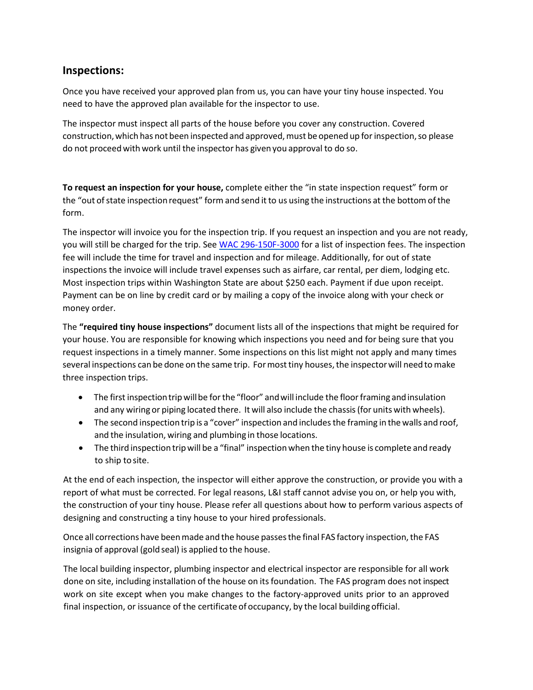## **Inspections:**

Once you have received your approved plan from us, you can have your tiny house inspected. You need to have the approved plan available for the inspector to use.

The inspector must inspect all parts of the house before you cover any construction. Covered construction, which has not been inspected and approved, must be opened up for inspection, so please do not proceed with work until the inspector has given you approval to do so.

**To request an inspection for your house,** complete either the "in state inspection request" form or the "out of state inspection request" form and send it to us using the instructions at the bottom of the form.

The inspector will invoice you for the inspection trip. If you request an inspection and you are not ready, you will still be charged for the trip. Se[e WAC 296‐150F‐3000](https://app.leg.wa.gov/WAC/default.aspx?cite=296-150F-3000) for a list of inspection fees. The inspection fee will include the time for travel and inspection and for mileage. Additionally, for out of state inspections the invoice will include travel expenses such as airfare, car rental, per diem, lodging etc. Most inspection trips within Washington State are about \$250 each. Payment if due upon receipt. Payment can be on line by credit card or by mailing a copy of the invoice along with your check or money order.

The **"required tiny house inspections"** document lists all of the inspections that might be required for your house. You are responsible for knowing which inspections you need and for being sure that you request inspections in a timely manner. Some inspections on this list might not apply and many times several inspections can be done on the same trip. For most tiny houses, the inspector will need to make three inspection trips.

- The first inspection trip will be for the "floor" and will include the floor framing and insulation and any wiring or piping located there. It will also include the chassis(for units with wheels).
- The second inspection trip is a "cover" inspection and includes the framing in the walls and roof, and the insulation, wiring and plumbing in those locations.
- The third inspection tripwill be a "final" inspectionwhen the tiny house is complete and ready to ship to site.

At the end of each inspection, the inspector will either approve the construction, or provide you with a report of what must be corrected. For legal reasons, L&I staff cannot advise you on, or help you with, the construction of your tiny house. Please refer all questions about how to perform various aspects of designing and constructing a tiny house to your hired professionals.

Once all corrections have been made and the house passes the final FAS factory inspection, the FAS insignia of approval (gold seal) is applied to the house.

The local building inspector, plumbing inspector and electrical inspector are responsible for all work done on site, including installation of the house on itsfoundation. The FAS program does not inspect work on site except when you make changes to the factory-approved units prior to an approved final inspection, or issuance of the certificate of occupancy, by the local building official.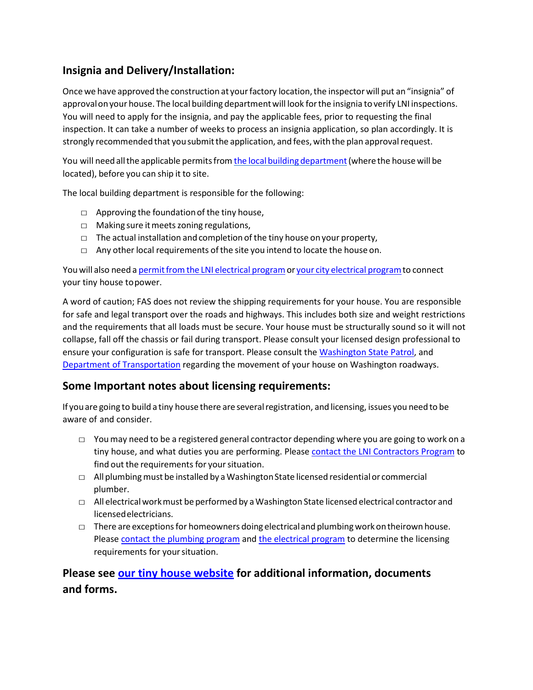## **Insignia and Delivery/Installation:**

Once we have approved the construction at your factory location, the inspector will put an "insignia" of approval on your house. The local building department will look for the insignia to verify LNI inspections. You will need to apply for the insignia, and pay the applicable fees, prior to requesting the final inspection. It can take a number of weeks to process an insignia application, so plan accordingly. It is strongly recommended that you submit the application, and fees, with the plan approval request.

You will need all the applicable permits from the local building department (where the house will be located), before you can ship it to site.

The local building department is responsible for the following:

- $\Box$  Approving the foundation of the tiny house,
- □ Making sure it meets zoning regulations,
- $\Box$  The actual installation and completion of the tiny house on your property,
- $\Box$  Any other local requirements of the site you intend to locate the house on.

You will also need a permit from the LNI electrical program or your city electrical program to connect your tiny house topower.

A word of caution; FAS does not review the shipping requirements for your house. You are responsible for safe and legal transport over the roads and highways. This includes both size and weight restrictions and the requirements that all loads must be secure. Your house must be structurally sound so it will not collapse, fall off the chassis or fail during transport. Please consult your licensed design professional to ensure your configuration is safe for transport. Please consult the [Washington State Patrol, a](http://www.wsp.wa.gov/driver/vehicle-equipment-requirements/)nd [Department of Transportation](https://www.wsdot.wa.gov/commercialVehicle/Restrictions/) regarding the movement of your house on Washington roadways.

### **Some Important notes about licensing requirements:**

If you are going to build a tiny house there are several registration, and licensing, issues you need to be aware of and consider.

- $\Box$  You may need to be a registered general contractor depending where you are going to work on a tiny house, and what duties you are performing. Please [contact the LNI Contractors Program](https://lni.wa.gov/licensing-permits/contractors/register-as-a-contractor/) to find out the requirements for your situation.
- $\Box$  All plumbing must be installed by a Washington State licensed residential or commercial plumber.
- $\Box$  All electrical work must be performed by a Washington State licensed electrical contractor and licensedelectricians.
- $\square$  There are exceptions for homeowners doing electrical and plumbing work on theirown house. Please [contact the plumbing program](https://lni.wa.gov/licensing-permits/plumbing/about-the-plumber-program) and [the electrical program](https://lni.wa.gov/licensing-permits/electrical/electrical-basics-for-home-business-owners/) to determine the licensing requirements for yoursituation.

## **Please see [our tiny house website](https://lni.wa.gov/licensing-permits/manufactured-modular-mobile-structures/tiny-homes/#about-tiny-houses) for additional information, documents and forms.**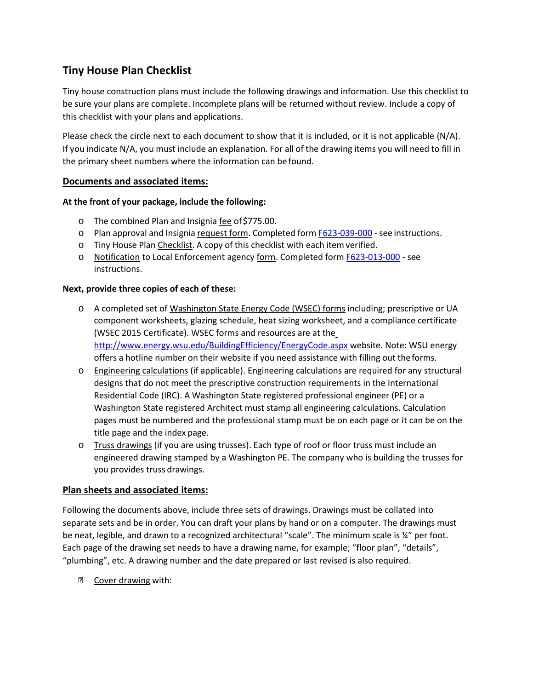## **Tiny House Plan Checklist**

Tiny house construction plans must include the following drawings and information. Use this checklist to be sure your plans are complete. Incomplete plans will be returned without review. Include a copy of this checklist with your plans and applications.

Please check the circle next to each document to show that it is included, or it is not applicable (N/A). If you indicate N/A, you must include an explanation. For all of the drawing items you will need to fill in the primary sheet numbers where the information can be found.

#### **Documents and associated items:**

#### **At the front of your package, include the following:**

- o The combined Plan and Insignia fee of\$775.00.
- o Plan approval and Insignia request form. Completed form F623-039-000 see instructions.
- o Tiny House Plan Checklist. A copy of this checklist with each itemverified.
- o Notification to Local Enforcement agency form. Completed form [F623‐013‐000](https://lni.wa.gov/forms-publications/F623-013-000.pdf) ‐ see instructions.

#### **Next, provide three copies of each of these:**

- o A completed set of Washington State Energy Code (WSEC) forms including; prescriptive or UA component worksheets, glazing schedule, heat sizing worksheet, and a compliance certificate (WSEC 2015 Certificate). WSEC forms and resources are at th[e](http://www.energy.wsu.edu/BuildingEfficiency/EnergyCode.aspx) <http://www.energy.wsu.edu/BuildingEfficiency/EnergyCode.aspx> website. Note: WSU energy offers a hotline number on their website if you need assistance with filling out theforms.
- o Engineering calculations (if applicable). Engineering calculations are required for any structural designs that do not meet the prescriptive construction requirements in the International Residential Code (IRC). A Washington State registered professional engineer (PE) or a Washington State registered Architect must stamp all engineering calculations. Calculation pages must be numbered and the professional stamp must be on each page or it can be on the title page and the index page.
- o Truss drawings (if you are using trusses). Each type of roof or floor truss must include an engineered drawing stamped by a Washington PE. The company who is building the trusses for you provides truss drawings.

#### **Plan sheets and associated items:**

Following the documents above, include three sets of drawings. Drawings must be collated into separate sets and be in order. You can draft your plans by hand or on a computer. The drawings must be neat, legible, and drawn to a recognized architectural "scale". The minimum scale is ¼" per foot. Each page of the drawing set needs to have a drawing name, for example; "floor plan", "details", "plumbing", etc. A drawing number and the date prepared or last revised is also required.

Cover drawing with: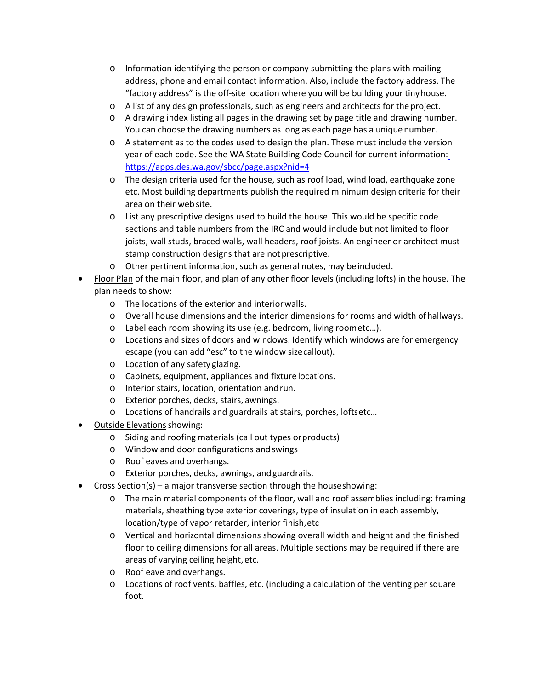- $\circ$  Information identifying the person or company submitting the plans with mailing address, phone and email contact information. Also, include the factory address. The "factory address" is the off‐site location where you will be building your tinyhouse.
- o A list of any design professionals, such as engineers and architects for the project.
- o A drawing index listing all pages in the drawing set by page title and drawing number. You can choose the drawing numbers as long as each page has a unique number.
- o A statement as to the codes used to design the plan. These must include the version year of each code. See the WA State Building Code Council for current informatio[n:](https://apps.des.wa.gov/sbcc/page.aspx?nid=4) <https://apps.des.wa.gov/sbcc/page.aspx?nid=4>
- o The design criteria used for the house, such as roof load, wind load, earthquake zone etc. Most building departments publish the required minimum design criteria for their area on their web site.
- o List any prescriptive designs used to build the house. This would be specific code sections and table numbers from the IRC and would include but not limited to floor joists, wall studs, braced walls, wall headers, roof joists. An engineer or architect must stamp construction designs that are not prescriptive.
- o Other pertinent information, such as general notes, may beincluded.
- Floor Plan of the main floor, and plan of any other floor levels (including lofts) in the house. The plan needs to show:
	- o The locations of the exterior and interiorwalls.
	- o Overall house dimensions and the interior dimensions for rooms and width ofhallways.
	- o Label each room showing its use (e.g. bedroom, living roometc…).
	- o Locations and sizes of doors and windows. Identify which windows are for emergency escape (you can add "esc" to the window sizecallout).
	- o Location of any safety glazing.
	- o Cabinets, equipment, appliances and fixture locations.
	- o Interior stairs, location, orientation andrun.
	- o Exterior porches, decks, stairs, awnings.
	- o Locations of handrails and guardrails at stairs, porches, loftsetc…
- **Outside Elevations showing:** 
	- o Siding and roofing materials (call out types orproducts)
	- o Window and door configurations andswings
	- o Roof eaves and overhangs.
	- o Exterior porches, decks, awnings, andguardrails.
- $Cross Section(s) a major transverse section through the house showing:$ </u>
	- $\circ$  The main material components of the floor, wall and roof assemblies including: framing materials, sheathing type exterior coverings, type of insulation in each assembly, location/type of vapor retarder, interior finish,etc
	- o Vertical and horizontal dimensions showing overall width and height and the finished floor to ceiling dimensions for all areas. Multiple sections may be required if there are areas of varying ceiling height, etc.
	- o Roof eave and overhangs.
	- o Locations of roof vents, baffles, etc. (including a calculation of the venting per square foot.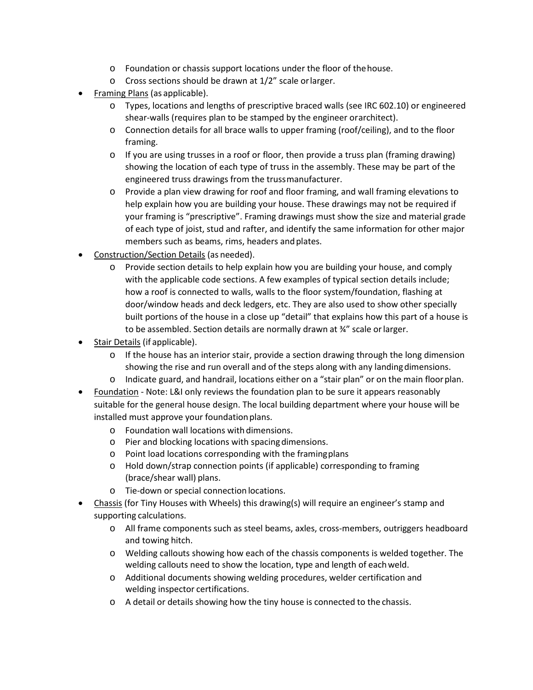- o Foundation or chassis support locations under the floor of thehouse.
- o Cross sections should be drawn at 1/2" scale orlarger.
- Framing Plans (as applicable).
	- o Types, locations and lengths of prescriptive braced walls (see IRC 602.10) or engineered shear-walls (requires plan to be stamped by the engineer orarchitect).
	- o Connection details for all brace walls to upper framing (roof/ceiling), and to the floor framing.
	- o If you are using trusses in a roof or floor, then provide a truss plan (framing drawing) showing the location of each type of truss in the assembly. These may be part of the engineered truss drawings from the trussmanufacturer.
	- o Provide a plan view drawing for roof and floor framing, and wall framing elevations to help explain how you are building your house. These drawings may not be required if your framing is "prescriptive". Framing drawings must show the size and material grade of each type of joist, stud and rafter, and identify the same information for other major members such as beams, rims, headers and plates.
- Construction/Section Details (as needed).
	- o Provide section details to help explain how you are building your house, and comply with the applicable code sections. A few examples of typical section details include; how a roof is connected to walls, walls to the floor system/foundation, flashing at door/window heads and deck ledgers, etc. They are also used to show other specially built portions of the house in a close up "detail" that explains how this part of a house is to be assembled. Section details are normally drawn at ¾" scale orlarger.
- Stair Details (if applicable).
	- $\circ$  If the house has an interior stair, provide a section drawing through the long dimension showing the rise and run overall and of the steps along with any landingdimensions.
	- o Indicate guard, and handrail, locations either on a "stair plan" or on the main floorplan.
- Foundation Note: L&I only reviews the foundation plan to be sure it appears reasonably suitable for the general house design. The local building department where your house will be installed must approve your foundation plans.
	- o Foundation wall locations with dimensions.
	- o Pier and blocking locations with spacingdimensions.
	- o Point load locations corresponding with the framingplans
	- o Hold down/strap connection points (if applicable) corresponding to framing (brace/shear wall) plans.
	- o Tie‐down or special connection locations.
- Chassis (for Tiny Houses with Wheels) this drawing(s) will require an engineer's stamp and supporting calculations.
	- o All frame components such as steel beams, axles, cross‐members, outriggers headboard and towing hitch.
	- o Welding callouts showing how each of the chassis components is welded together. The welding callouts need to show the location, type and length of eachweld.
	- o Additional documents showing welding procedures, welder certification and welding inspector certifications.
	- o A detail or details showing how the tiny house is connected to the chassis.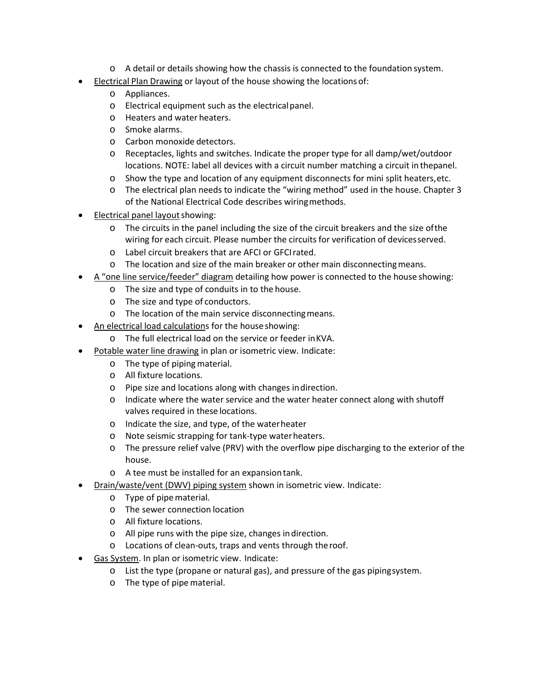- o A detail or details showing how the chassis is connected to the foundation system.
- **Electrical Plan Drawing or layout of the house showing the locations of:** 
	- o Appliances.
	- o Electrical equipment such as the electricalpanel.
	- o Heaters and water heaters.
	- o Smoke alarms.
	- o Carbon monoxide detectors.
	- o Receptacles, lights and switches. Indicate the proper type for all damp/wet/outdoor locations. NOTE: label all devices with a circuit number matching a circuit in thepanel.
	- o Show the type and location of any equipment disconnects for mini split heaters,etc.
	- o The electrical plan needs to indicate the "wiring method" used in the house. Chapter 3 of the National Electrical Code describes wiringmethods.
- Electrical panel layoutshowing:
	- o The circuits in the panel including the size of the circuit breakers and the size ofthe wiring for each circuit. Please number the circuits for verification of devicesserved.
	- o Label circuit breakers that are AFCI or GFCIrated.
	- o The location and size of the main breaker or other main disconnectingmeans.
- A "one line service/feeder" diagram detailing how power is connected to the house showing:
	- o The size and type of conduits in to the house.
	- o The size and type of conductors.
	- o The location of the main service disconnectingmeans.
- An electrical load calculations for the house showing:
	- o The full electrical load on the service or feeder inKVA.
- Potable water line drawing in plan or isometric view. Indicate:
	- o The type of pipingmaterial.
	- o All fixture locations.
	- o Pipe size and locations along with changes indirection.
	- $\circ$  Indicate where the water service and the water heater connect along with shutoff valves required in these locations.
	- o Indicate the size, and type, of the waterheater
	- o Note seismic strapping for tank‐type waterheaters.
	- o The pressure relief valve (PRV) with the overflow pipe discharging to the exterior of the house.
	- o A tee must be installed for an expansiontank.
- Drain/waste/vent (DWV) piping system shown in isometric view. Indicate:
	- o Type of pipematerial.
	- o The sewer connection location
	- o All fixture locations.
	- o All pipe runs with the pipe size, changes indirection.
	- o Locations of clean‐outs, traps and vents through theroof.
- Gas System. In plan or isometric view. Indicate:
	- o List the type (propane or natural gas), and pressure of the gas pipingsystem.
	- o The type of pipematerial.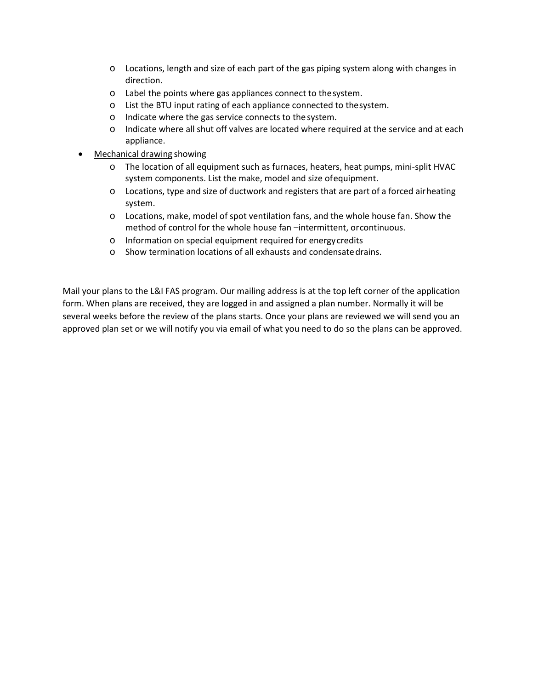- o Locations, length and size of each part of the gas piping system along with changes in direction.
- o Label the points where gas appliances connect to thesystem.
- o List the BTU input rating of each appliance connected to thesystem.
- o Indicate where the gas service connects to the system.
- o Indicate where all shut off valves are located where required at the service and at each appliance.
- Mechanical drawing showing
	- o The location of all equipment such as furnaces, heaters, heat pumps, mini‐split HVAC system components. List the make, model and size ofequipment.
	- o Locations, type and size of ductwork and registers that are part of a forced airheating system.
	- o Locations, make, model of spot ventilation fans, and the whole house fan. Show the method of control for the whole house fan –intermittent, orcontinuous.
	- o Information on special equipment required for energycredits
	- o Show termination locations of all exhausts and condensatedrains.

Mail your plans to the L&I FAS program. Our mailing address is at the top left corner of the application form. When plans are received, they are logged in and assigned a plan number. Normally it will be several weeks before the review of the plans starts. Once your plans are reviewed we will send you an approved plan set or we will notify you via email of what you need to do so the plans can be approved.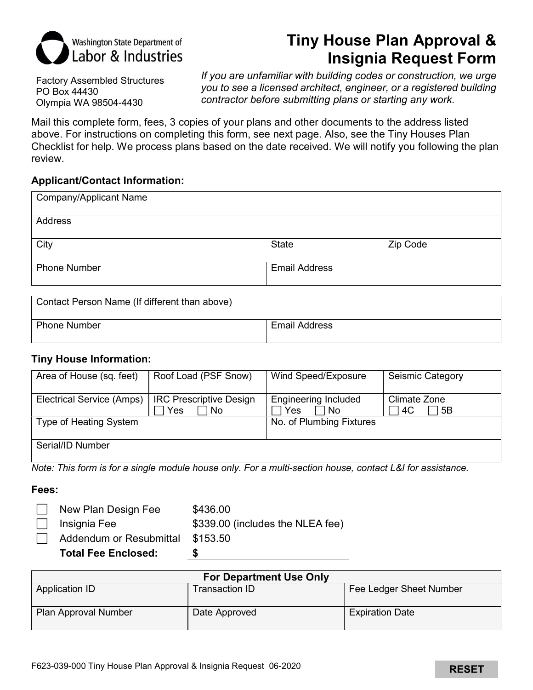

# Tiny House Plan Approval & Insignia Request Form

Factory Assembled Structures PO Box 44430 Olympia WA 98504-4430

If you are unfamiliar with building codes or construction, we urge you to see a licensed architect, engineer, or a registered building contractor before submitting plans or starting any work.

Mail this complete form, fees, 3 copies of your plans and other documents to the address listed above. For instructions on completing this form, see next page. Also, see the Tiny Houses Plan Checklist for help. We process plans based on the date received. We will notify you following the plan review.

### Applicant/Contact Information:

| <b>Company/Applicant Name</b>                 |                      |          |
|-----------------------------------------------|----------------------|----------|
| Address                                       |                      |          |
| City                                          | <b>State</b>         | Zip Code |
| <b>Phone Number</b>                           | <b>Email Address</b> |          |
| Contact Person Name (If different than above) |                      |          |

| <b>Phone Number</b> |  | <b>Email Address</b> |
|---------------------|--|----------------------|
|                     |  |                      |

### Tiny House Information:

| Area of House (sq. feet)  | Roof Load (PSF Snow)                         | Wind Speed/Exposure                       | Seismic Category         |
|---------------------------|----------------------------------------------|-------------------------------------------|--------------------------|
| Electrical Service (Amps) | <b>IRC Prescriptive Design</b><br>Yes<br>No. | <b>Engineering Included</b><br>Yes<br>No. | Climate Zone<br>4C<br>5B |
| Type of Heating System    |                                              | No. of Plumbing Fixtures                  |                          |
| Serial/ID Number          |                                              |                                           |                          |

Note: This form is for a single module house only. For a multi-section house, contact L&I for assistance.

### Fees:

| <b>Total Fee Enclosed:</b> |                                  |
|----------------------------|----------------------------------|
| Addendum or Resubmittal    | \$153.50                         |
| Insignia Fee               | \$339.00 (includes the NLEA fee) |
| New Plan Design Fee        | \$436.00                         |

| <b>For Department Use Only</b> |                |                         |
|--------------------------------|----------------|-------------------------|
| Application ID                 | Transaction ID | Fee Ledger Sheet Number |
| Plan Approval Number           | Date Approved  | <b>Expiration Date</b>  |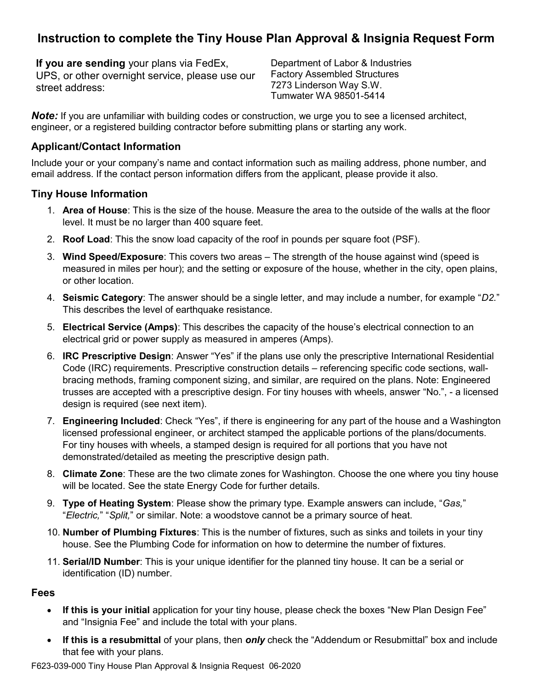## Instruction to complete the Tiny House Plan Approval & Insignia Request Form

If you are sending your plans via FedEx, UPS, or other overnight service, please use our street address:

Department of Labor & Industries Factory Assembled Structures 7273 Linderson Way S.W. Tumwater WA 98501-5414

Note: If you are unfamiliar with building codes or construction, we urge you to see a licensed architect, engineer, or a registered building contractor before submitting plans or starting any work.

## Applicant/Contact Information

Include your or your company's name and contact information such as mailing address, phone number, and email address. If the contact person information differs from the applicant, please provide it also.

## Tiny House Information

- 1. Area of House: This is the size of the house. Measure the area to the outside of the walls at the floor level. It must be no larger than 400 square feet.
- 2. Roof Load: This the snow load capacity of the roof in pounds per square foot (PSF).
- 3. Wind Speed/Exposure: This covers two areas The strength of the house against wind (speed is measured in miles per hour); and the setting or exposure of the house, whether in the city, open plains, or other location.
- 4. Seismic Category: The answer should be a single letter, and may include a number, for example "D2." This describes the level of earthquake resistance.
- 5. Electrical Service (Amps): This describes the capacity of the house's electrical connection to an electrical grid or power supply as measured in amperes (Amps).
- 6. IRC Prescriptive Design: Answer "Yes" if the plans use only the prescriptive International Residential Code (IRC) requirements. Prescriptive construction details – referencing specific code sections, wallbracing methods, framing component sizing, and similar, are required on the plans. Note: Engineered trusses are accepted with a prescriptive design. For tiny houses with wheels, answer "No.", - a licensed design is required (see next item).
- 7. Engineering Included: Check "Yes", if there is engineering for any part of the house and a Washington licensed professional engineer, or architect stamped the applicable portions of the plans/documents. For tiny houses with wheels, a stamped design is required for all portions that you have not demonstrated/detailed as meeting the prescriptive design path.
- 8. Climate Zone: These are the two climate zones for Washington. Choose the one where you tiny house will be located. See the state Energy Code for further details.
- 9. Type of Heating System: Please show the primary type. Example answers can include, "Gas," "Electric," "Split," or similar. Note: a woodstove cannot be a primary source of heat.
- 10. **Number of Plumbing Fixtures**: This is the number of fixtures, such as sinks and toilets in your tiny house. See the Plumbing Code for information on how to determine the number of fixtures.
- 11. Serial/ID Number: This is your unique identifier for the planned tiny house. It can be a serial or identification (ID) number.

### Fees

- If this is your initial application for your tiny house, please check the boxes "New Plan Design Fee"  $\bullet$ and "Insignia Fee" and include the total with your plans.
- If this is a resubmittal of your plans, then *only* check the "Addendum or Resubmittal" box and include  $\bullet$ that fee with your plans.

F623-039-000 Tiny House Plan Approval & Insignia Request 06-2020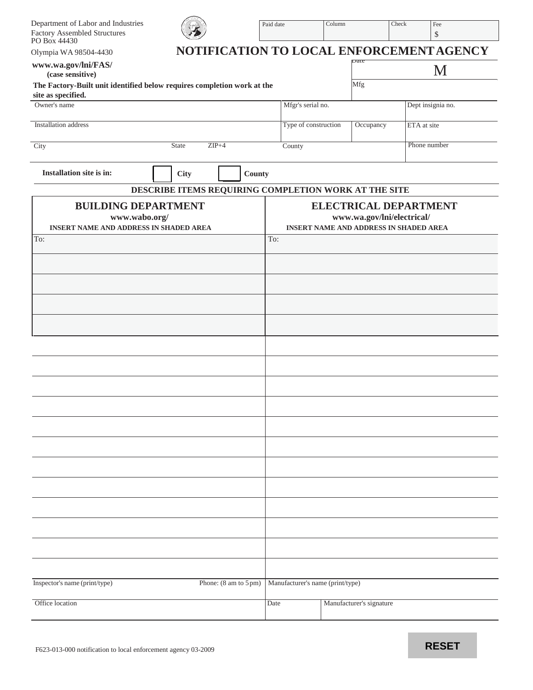| Department of Labor and Industries<br><b>Factory Assembled Structures</b><br>PO Box 44430     |                                                      | Paid date                        | Column                   | Check                      | Fee<br>\$                                                                     |
|-----------------------------------------------------------------------------------------------|------------------------------------------------------|----------------------------------|--------------------------|----------------------------|-------------------------------------------------------------------------------|
| Olympia WA 98504-4430                                                                         |                                                      |                                  |                          |                            | NOTIFICATION TO LOCAL ENFORCEMENT AGENCY                                      |
| www.wa.gov/lni/FAS/<br>(case sensitive)                                                       |                                                      |                                  | Date                     |                            | M                                                                             |
| The Factory-Built unit identified below requires completion work at the<br>site as specified. |                                                      |                                  | Mfg                      |                            |                                                                               |
| Owner's name                                                                                  |                                                      | Mfgr's serial no.                |                          |                            | Dept insignia no.                                                             |
| <b>Installation</b> address                                                                   |                                                      | Type of construction             |                          | Occupancy                  | ETA at site                                                                   |
| <b>State</b><br>City                                                                          | $ZIP+4$                                              | County                           |                          |                            | Phone number                                                                  |
| Installation site is in:                                                                      | <b>City</b><br>County                                |                                  |                          |                            |                                                                               |
|                                                                                               | DESCRIBE ITEMS REQUIRING COMPLETION WORK AT THE SITE |                                  |                          |                            |                                                                               |
| <b>BUILDING DEPARTMENT</b><br>www.wabo.org/<br><b>INSERT NAME AND ADDRESS IN SHADED AREA</b>  |                                                      |                                  |                          | www.wa.gov/lni/electrical/ | <b>ELECTRICAL DEPARTMENT</b><br><b>INSERT NAME AND ADDRESS IN SHADED AREA</b> |
| To:                                                                                           |                                                      | To:                              |                          |                            |                                                                               |
|                                                                                               |                                                      |                                  |                          |                            |                                                                               |
|                                                                                               |                                                      |                                  |                          |                            |                                                                               |
|                                                                                               |                                                      |                                  |                          |                            |                                                                               |
|                                                                                               |                                                      |                                  |                          |                            |                                                                               |
|                                                                                               |                                                      |                                  |                          |                            |                                                                               |
|                                                                                               |                                                      |                                  |                          |                            |                                                                               |
|                                                                                               |                                                      |                                  |                          |                            |                                                                               |
|                                                                                               |                                                      |                                  |                          |                            |                                                                               |
|                                                                                               |                                                      |                                  |                          |                            |                                                                               |
|                                                                                               |                                                      |                                  |                          |                            |                                                                               |
|                                                                                               |                                                      |                                  |                          |                            |                                                                               |
|                                                                                               |                                                      |                                  |                          |                            |                                                                               |
|                                                                                               |                                                      |                                  |                          |                            |                                                                               |
|                                                                                               |                                                      |                                  |                          |                            |                                                                               |
| Inspector's name (print/type)                                                                 | Phone: (8 am to 5 pm)                                | Manufacturer's name (print/type) |                          |                            |                                                                               |
| Office location                                                                               |                                                      | Date                             | Manufacturer's signature |                            |                                                                               |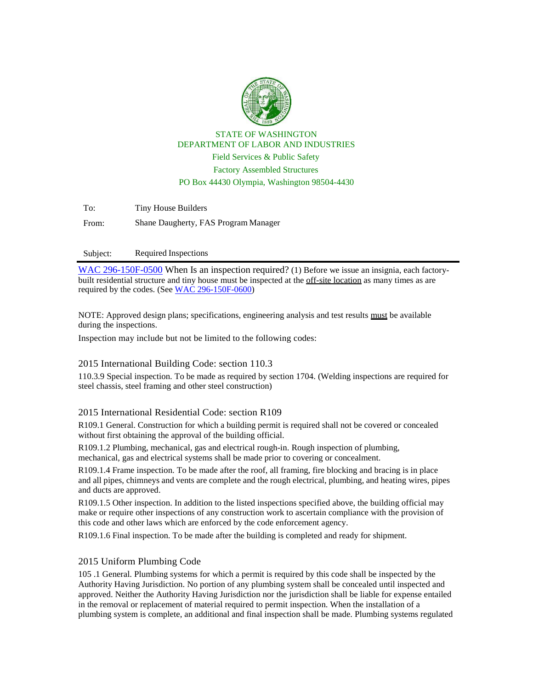

STATE OF WASHINGTON DEPARTMENT OF LABOR AND INDUSTRIES Field Services & Public Safety Factory Assembled Structures PO Box 44430 Olympia, Washington 98504-4430

To: Tiny House Builders From: Shane Daugherty, FAS Program Manager

#### Subject: Required Inspections

[WAC 296-150F-0500](https://app.leg.wa.gov/WAC/default.aspx?cite=296-150F-0500) When Is an inspection required? (1) Before we issue an insignia, each factorybuilt residential structure and tiny house must be inspected at the off-site location as many times as are required by the codes. (See [WAC 296-150F-0600\)](https://app.leg.wa.gov/WAC/default.aspx?cite=296-150F-0600)

NOTE: Approved design plans; specifications, engineering analysis and test results must be available during the inspections.

Inspection may include but not be limited to the following codes:

#### 2015 International Building Code: section 110.3

110.3.9 Special inspection. To be made as required by section 1704. (Welding inspections are required for steel chassis, steel framing and other steel construction)

#### 2015 International Residential Code: section R109

R109.1 General. Construction for which a building permit is required shall not be covered or concealed without first obtaining the approval of the building official.

R109.1.2 Plumbing, mechanical, gas and electrical rough-in. Rough inspection of plumbing, mechanical, gas and electrical systems shall be made prior to covering or concealment.

R109.1.4 Frame inspection. To be made after the roof, all framing, fire blocking and bracing is in place and all pipes, chimneys and vents are complete and the rough electrical, plumbing, and heating wires, pipes and ducts are approved.

R109.1.5 Other inspection. In addition to the listed inspections specified above, the building official may make or require other inspections of any construction work to ascertain compliance with the provision of this code and other laws which are enforced by the code enforcement agency.

R109.1.6 Final inspection. To be made after the building is completed and ready for shipment.

#### 2015 Uniform Plumbing Code

105 .1 General. Plumbing systems for which a permit is required by this code shall be inspected by the Authority Having Jurisdiction. No portion of any plumbing system shall be concealed until inspected and approved. Neither the Authority Having Jurisdiction nor the jurisdiction shall be liable for expense entailed in the removal or replacement of material required to permit inspection. When the installation of a plumbing system is complete, an additional and final inspection shall be made. Plumbing systems regulated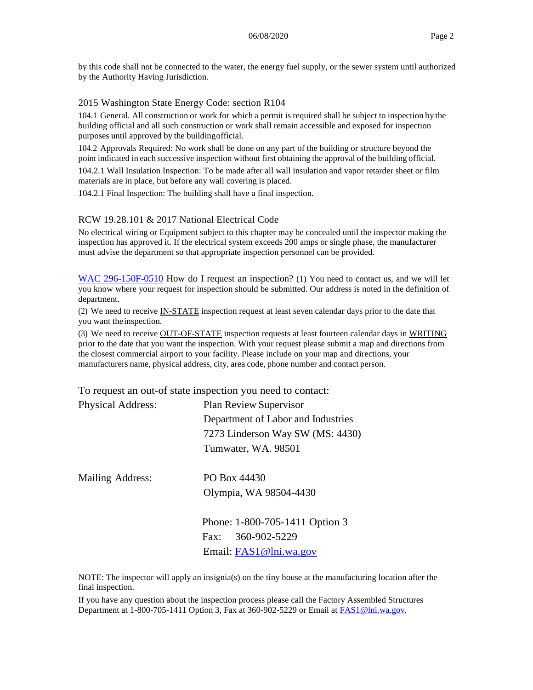by this code shall not be connected to the water, the energy fuel supply, or the sewer system until authorized by the Authority Having Jurisdiction.

#### 2015 Washington State Energy Code: section R104

104.1 General. All construction or work for which a permit is required shall be subject to inspection by the building official and all such construction or work shall remain accessible and exposed for inspection purposes until approved by the buildingofficial.

104.2 Approvals Required: No work shall be done on any part of the building or structure beyond the point indicated in each successive inspection without first obtaining the approval of the building official.

104.2.1 Wall Insulation Inspection: To be made after all wall insulation and vapor retarder sheet or film materials are in place, but before any wall covering is placed.

104.2.1 Final Inspection: The building shall have a final inspection.

#### RCW 19.28.101 & 2017 National Electrical Code

No electrical wiring or Equipment subject to this chapter may be concealed until the inspector making the inspection has approved it. If the electrical system exceeds 200 amps or single phase, the manufacturer must advise the department so that appropriate inspection personnel can be provided.

[WAC 296-150F-0510](https://app.leg.wa.gov/WAC/default.aspx?cite=296-150F-0510) How do I request an inspection? (1) You need to contact us, and we will let you know where your request for inspection should be submitted. Our address is noted in the definition of department.

(2) We need to receive IN-STATE inspection request at least seven calendar days prior to the date that you want the inspection.

(3) We need to receive OUT-OF-STATE inspection requests at least fourteen calendar days in WRITING prior to the date that you want the inspection. With your request please submit a map and directions from the closest commercial airport to your facility. Please include on your map and directions, your manufacturers name, physical address, city, area code, phone number and contact person.

To request an out-of state inspection you need to contact:

| <b>Physical Address:</b> | <b>Plan Review Supervisor</b>      |
|--------------------------|------------------------------------|
|                          | Department of Labor and Industries |
|                          | 7273 Linderson Way SW (MS: 4430)   |
|                          | Tumwater, WA. 98501                |

Mailing Address: PO Box 44430

Olympia, WA 98504-4430

Phone: 1-800-705-1411 Option 3 Fax: 360-902-5229 Email: [FAS1@lni.wa.gov](mailto:FAS1@lni.wa.gov)

NOTE: The inspector will apply an insignia(s) on the tiny house at the manufacturing location after the final inspection.

If you have any question about the inspection process please call the Factory Assembled Structures Department at  $1-800-705-1411$  Option 3, Fax at  $360-902-5229$  or Email at  $FAS1@lni.wa.gov$ .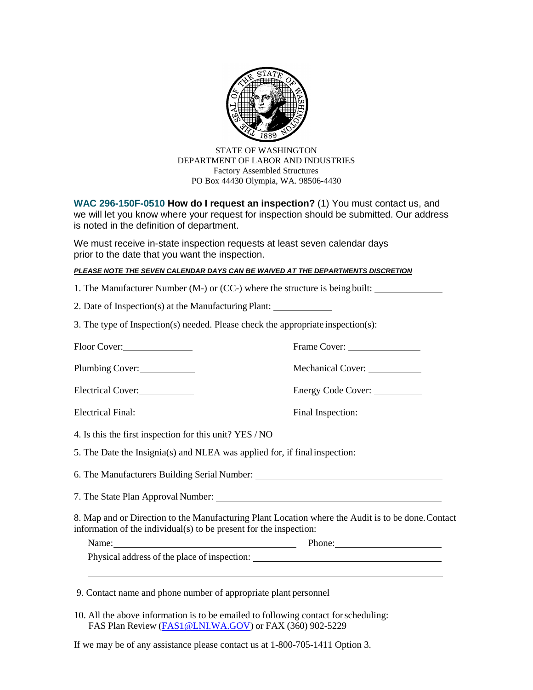

STATE OF WASHINGTON DEPARTMENT OF LABOR AND INDUSTRIES Factory Assembled Structures PO Box 44430 Olympia, WA. 98506-4430

**WAC 296-150F-0510 How do I request an inspection?** (1) You must contact us, and we will let you know where your request for inspection should be submitted. Our address is noted in the definition of department.

We must receive in-state inspection requests at least seven calendar days prior to the date that you want the inspection.

#### *PLEASE NOTE THE SEVEN CALENDAR DAYS CAN BE WAIVED AT THE DEPARTMENTS DISCRETION*

| 1. The Manufacturer Number (M-) or (CC-) where the structure is being built:                                                                                             |                    |
|--------------------------------------------------------------------------------------------------------------------------------------------------------------------------|--------------------|
| 2. Date of Inspection(s) at the Manufacturing Plant: ___________________________                                                                                         |                    |
| 3. The type of Inspection(s) needed. Please check the appropriate inspection(s):                                                                                         |                    |
| Floor Cover:                                                                                                                                                             | Frame Cover:       |
| Plumbing Cover:                                                                                                                                                          |                    |
| Electrical Cover:                                                                                                                                                        | Energy Code Cover: |
| Electrical Final:                                                                                                                                                        |                    |
| 4. Is this the first inspection for this unit? YES / NO                                                                                                                  |                    |
| 5. The Date the Insignia(s) and NLEA was applied for, if final inspection: ___________________________________                                                           |                    |
| 6. The Manufacturers Building Serial Number: ___________________________________                                                                                         |                    |
|                                                                                                                                                                          |                    |
| 8. Map and or Direction to the Manufacturing Plant Location where the Audit is to be done. Contact<br>information of the individual(s) to be present for the inspection: |                    |
| Name: Phone: Phone:                                                                                                                                                      |                    |
| Physical address of the place of inspection: ___________________________________                                                                                         |                    |
|                                                                                                                                                                          |                    |
| 9. Contact name and phone number of appropriate plant personnel                                                                                                          |                    |

10. All the above information is to be emailed to following contact for scheduling: FAS Plan Review [\(FAS1@LNI.WA.GOV\)](mailto:FAS1@LNI.WA.GOV) or FAX (360) 902-5229

If we may be of any assistance please contact us at 1-800-705-1411 Option 3.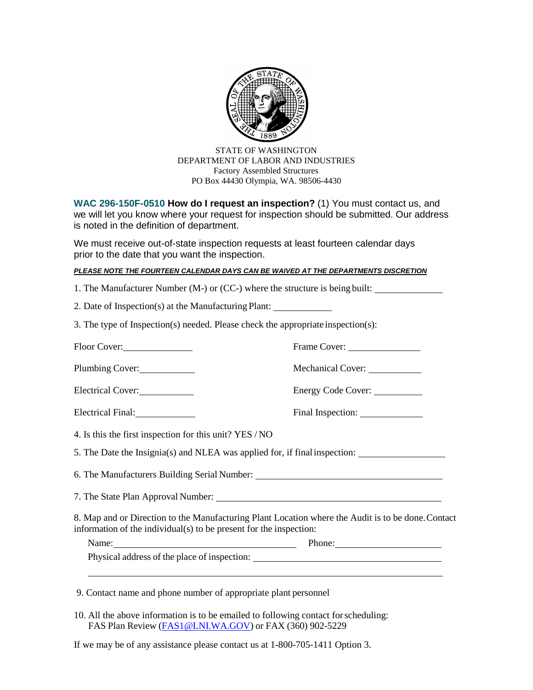

STATE OF WASHINGTON DEPARTMENT OF LABOR AND INDUSTRIES Factory Assembled Structures PO Box 44430 Olympia, WA. 98506-4430

**WAC 296-150F-0510 How do I request an inspection?** (1) You must contact us, and we will let you know where your request for inspection should be submitted. Our address is noted in the definition of department.

We must receive out-of-state inspection requests at least fourteen calendar days prior to the date that you want the inspection.

#### *PLEASE NOTE THE FOURTEEN CALENDAR DAYS CAN BE WAIVED AT THE DEPARTMENTS DISCRETION*

| 1. The Manufacturer Number (M-) or (CC-) where the structure is being built:                                                                                             |                                 |
|--------------------------------------------------------------------------------------------------------------------------------------------------------------------------|---------------------------------|
| 2. Date of Inspection(s) at the Manufacturing Plant: ___________________________                                                                                         |                                 |
| 3. The type of Inspection(s) needed. Please check the appropriate inspection(s):                                                                                         |                                 |
| Floor Cover:                                                                                                                                                             | Frame Cover:                    |
| Plumbing Cover:                                                                                                                                                          | Mechanical Cover: _____________ |
| Electrical Cover:                                                                                                                                                        | Energy Code Cover:              |
| Electrical Final:                                                                                                                                                        |                                 |
| 4. Is this the first inspection for this unit? YES / NO                                                                                                                  |                                 |
| 5. The Date the Insignia(s) and NLEA was applied for, if final inspection:                                                                                               |                                 |
| 6. The Manufacturers Building Serial Number: ___________________________________                                                                                         |                                 |
|                                                                                                                                                                          |                                 |
| 8. Map and or Direction to the Manufacturing Plant Location where the Audit is to be done. Contact<br>information of the individual(s) to be present for the inspection: |                                 |
| Name: Phone: Phone:                                                                                                                                                      |                                 |
| Physical address of the place of inspection: ___________________________________                                                                                         |                                 |
|                                                                                                                                                                          |                                 |
| 9. Contact name and phone number of appropriate plant personnel                                                                                                          |                                 |

10. All the above information is to be emailed to following contact for scheduling: FAS Plan Review [\(FAS1@LNI.WA.GOV\)](mailto:FAS1@LNI.WA.GOV) or FAX (360) 902-5229

If we may be of any assistance please contact us at 1-800-705-1411 Option 3.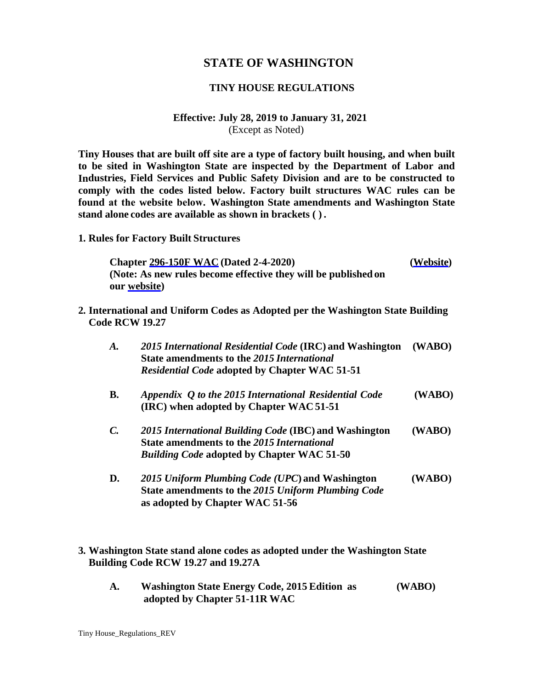## **STATE OF WASHINGTON**

### **TINY HOUSE REGULATIONS**

#### **Effective: July 28, 2019 to January 31, 2021**  (Except as Noted)

**Tiny Houses that are built off site are a type of factory built housing, and when built to be sited in Washington State are inspected by the Department of Labor and Industries, Field Services and Public Safety Division and are to be constructed to comply with the codes listed below. Factory built structures WAC rules can be found at the website below. Washington State amendments and Washington State stand alone codes are available as shown in brackets ( ) .** 

**1. Rules for Factory Built Structures**

**Chapter [296-150F WAC \(](https://app.leg.wa.gov/WAC/default.aspx?cite=296-150F)Dated 2-4-2020) [\(Website\)](https://app.leg.wa.gov/WAC/default.aspx?cite=296-150F) (Note: As new rules become effective they will be published on our [website\)](https://lni.wa.gov/licensing-permits/manufactured-modular-mobile-structures/laws-rules)** 

**2. International and Uniform Codes as Adopted per the Washington State Building Code RCW 19.27**

| $\boldsymbol{A}$ . | 2015 International Residential Code (IRC) and Washington<br>State amendments to the 2015 International<br><b>Residential Code adopted by Chapter WAC 51-51</b> | (WABO) |
|--------------------|----------------------------------------------------------------------------------------------------------------------------------------------------------------|--------|
| <b>B.</b>          | Appendix Q to the 2015 International Residential Code<br>(IRC) when adopted by Chapter WAC 51-51                                                               | (WABO) |
| $\mathcal{C}$ .    | 2015 International Building Code (IBC) and Washington<br>State amendments to the 2015 International<br><b>Building Code adopted by Chapter WAC 51-50</b>       | (WABO) |
| D.                 | 2015 Uniform Plumbing Code (UPC) and Washington<br>State amendments to the 2015 Uniform Plumbing Code<br>as adopted by Chapter WAC 51-56                       | (WABO) |

#### **3. Washington State stand alone codes as adopted under the Washington State Building Code RCW 19.27 and 19.27A**

**A. Washington State Energy Code, 2015 Edition as (WABO) adopted by Chapter 51-11R WAC**